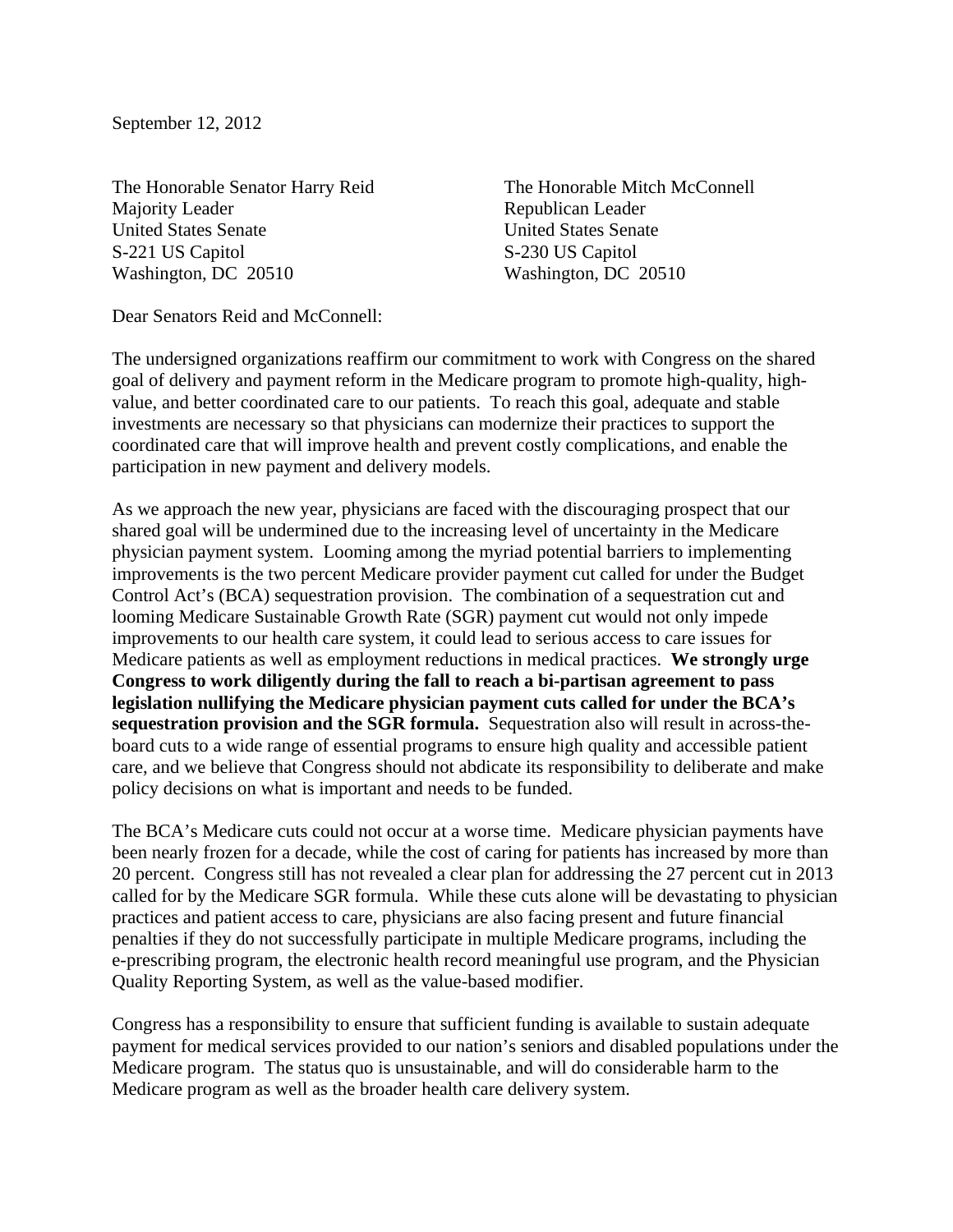September 12, 2012

The Honorable Senator Harry Reid Majority Leader United States Senate S-221 US Capitol Washington, DC 20510

The Honorable Mitch McConnell Republican Leader United States Senate S-230 US Capitol Washington, DC 20510

Dear Senators Reid and McConnell:

The undersigned organizations reaffirm our commitment to work with Congress on the shared goal of delivery and payment reform in the Medicare program to promote high-quality, highvalue, and better coordinated care to our patients. To reach this goal, adequate and stable investments are necessary so that physicians can modernize their practices to support the coordinated care that will improve health and prevent costly complications, and enable the participation in new payment and delivery models.

As we approach the new year, physicians are faced with the discouraging prospect that our shared goal will be undermined due to the increasing level of uncertainty in the Medicare physician payment system. Looming among the myriad potential barriers to implementing improvements is the two percent Medicare provider payment cut called for under the Budget Control Act's (BCA) sequestration provision. The combination of a sequestration cut and looming Medicare Sustainable Growth Rate (SGR) payment cut would not only impede improvements to our health care system, it could lead to serious access to care issues for Medicare patients as well as employment reductions in medical practices. **We strongly urge Congress to work diligently during the fall to reach a bi-partisan agreement to pass legislation nullifying the Medicare physician payment cuts called for under the BCA's sequestration provision and the SGR formula.** Sequestration also will result in across-theboard cuts to a wide range of essential programs to ensure high quality and accessible patient care, and we believe that Congress should not abdicate its responsibility to deliberate and make policy decisions on what is important and needs to be funded.

The BCA's Medicare cuts could not occur at a worse time. Medicare physician payments have been nearly frozen for a decade, while the cost of caring for patients has increased by more than 20 percent. Congress still has not revealed a clear plan for addressing the 27 percent cut in 2013 called for by the Medicare SGR formula. While these cuts alone will be devastating to physician practices and patient access to care, physicians are also facing present and future financial penalties if they do not successfully participate in multiple Medicare programs, including the e-prescribing program, the electronic health record meaningful use program, and the Physician Quality Reporting System, as well as the value-based modifier.

Congress has a responsibility to ensure that sufficient funding is available to sustain adequate payment for medical services provided to our nation's seniors and disabled populations under the Medicare program. The status quo is unsustainable, and will do considerable harm to the Medicare program as well as the broader health care delivery system.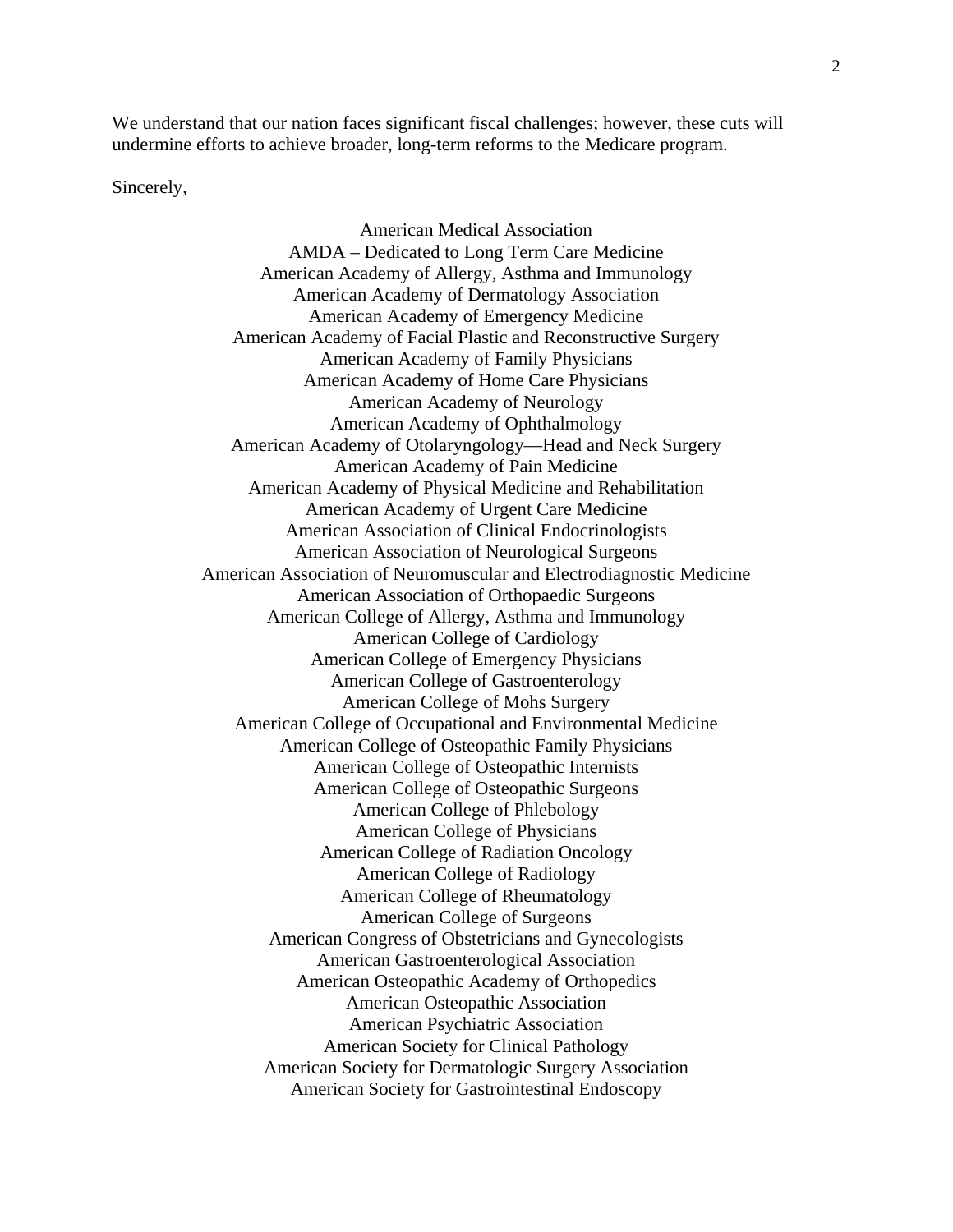We understand that our nation faces significant fiscal challenges; however, these cuts will undermine efforts to achieve broader, long-term reforms to the Medicare program.

Sincerely,

American Medical Association AMDA – Dedicated to Long Term Care Medicine American Academy of Allergy, Asthma and Immunology American Academy of Dermatology Association American Academy of Emergency Medicine American Academy of Facial Plastic and Reconstructive Surgery American Academy of Family Physicians American Academy of Home Care Physicians American Academy of Neurology American Academy of Ophthalmology American Academy of Otolaryngology—Head and Neck Surgery American Academy of Pain Medicine American Academy of Physical Medicine and Rehabilitation American Academy of Urgent Care Medicine American Association of Clinical Endocrinologists American Association of Neurological Surgeons American Association of Neuromuscular and Electrodiagnostic Medicine American Association of Orthopaedic Surgeons American College of Allergy, Asthma and Immunology American College of Cardiology American College of Emergency Physicians American College of Gastroenterology American College of Mohs Surgery American College of Occupational and Environmental Medicine American College of Osteopathic Family Physicians American College of Osteopathic Internists American College of Osteopathic Surgeons American College of Phlebology American College of Physicians American College of Radiation Oncology American College of Radiology American College of Rheumatology American College of Surgeons American Congress of Obstetricians and Gynecologists American Gastroenterological Association American Osteopathic Academy of Orthopedics American Osteopathic Association American Psychiatric Association American Society for Clinical Pathology American Society for Dermatologic Surgery Association American Society for Gastrointestinal Endoscopy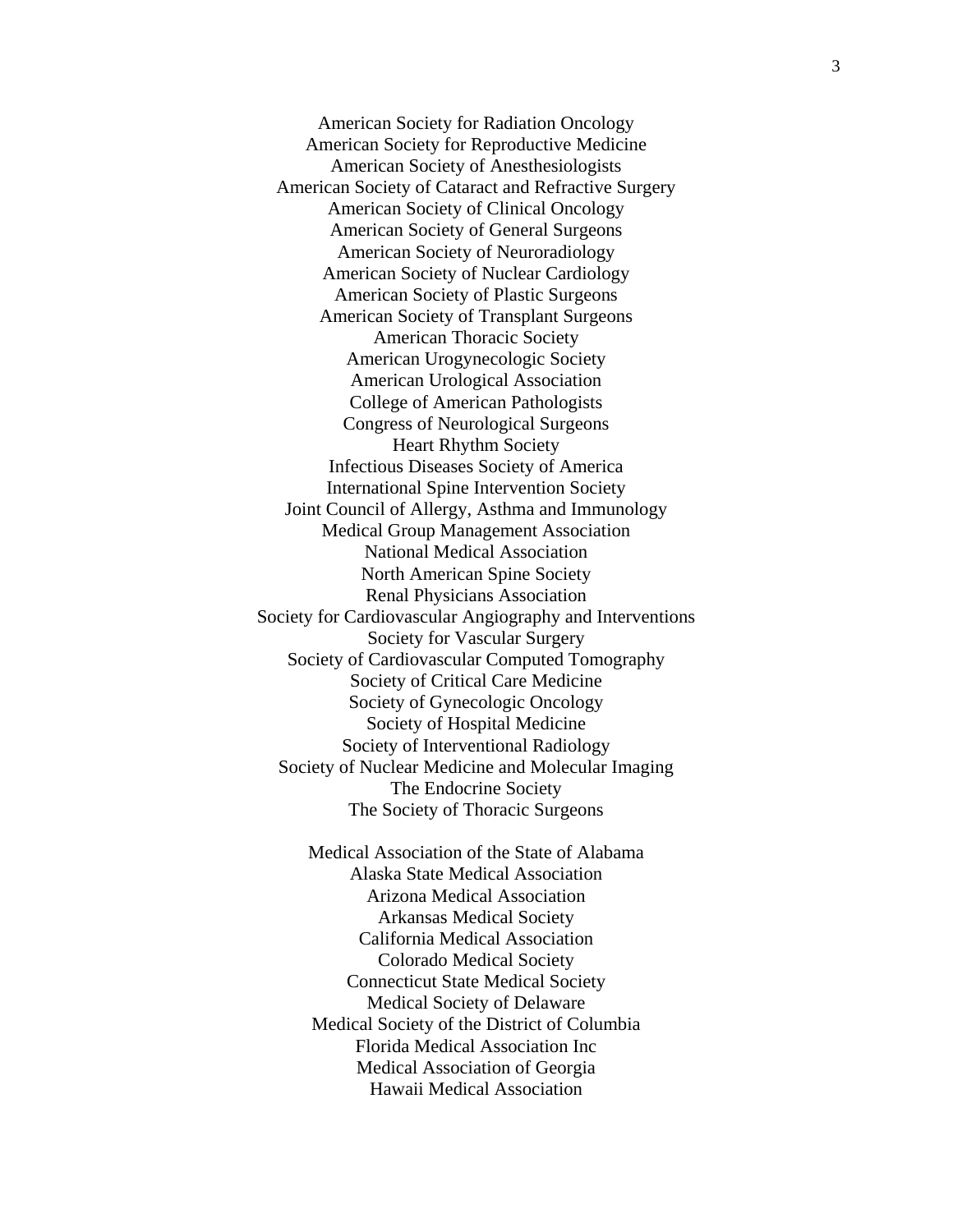American Society for Radiation Oncology American Society for Reproductive Medicine American Society of Anesthesiologists American Society of Cataract and Refractive Surgery American Society of Clinical Oncology American Society of General Surgeons American Society of Neuroradiology American Society of Nuclear Cardiology American Society of Plastic Surgeons American Society of Transplant Surgeons American Thoracic Society American Urogynecologic Society American Urological Association College of American Pathologists Congress of Neurological Surgeons Heart Rhythm Society Infectious Diseases Society of America International Spine Intervention Society Joint Council of Allergy, Asthma and Immunology Medical Group Management Association National Medical Association North American Spine Society Renal Physicians Association Society for Cardiovascular Angiography and Interventions Society for Vascular Surgery Society of Cardiovascular Computed Tomography Society of Critical Care Medicine Society of Gynecologic Oncology Society of Hospital Medicine Society of Interventional Radiology Society of Nuclear Medicine and Molecular Imaging The Endocrine Society The Society of Thoracic Surgeons

> Medical Association of the State of Alabama Alaska State Medical Association Arizona Medical Association Arkansas Medical Society California Medical Association Colorado Medical Society Connecticut State Medical Society Medical Society of Delaware Medical Society of the District of Columbia Florida Medical Association Inc Medical Association of Georgia Hawaii Medical Association